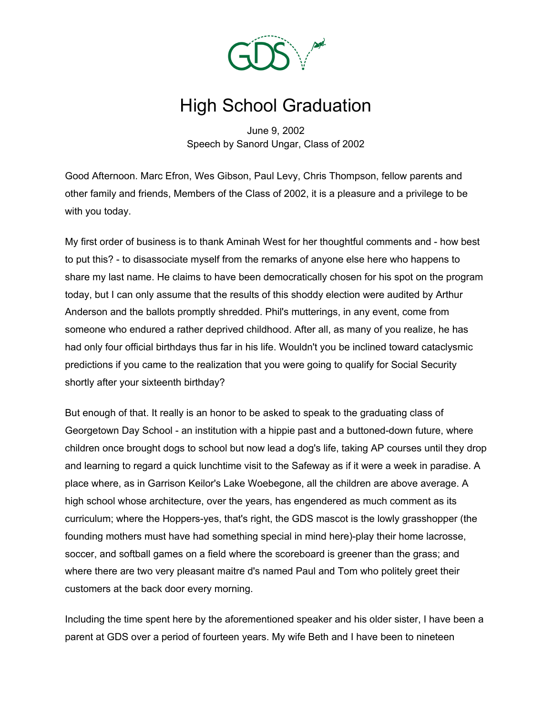

## High School Graduation

June 9, 2002 Speech by Sanord Ungar, Class of 2002

Good Afternoon. Marc Efron, Wes Gibson, Paul Levy, Chris Thompson, fellow parents and other family and friends, Members of the Class of 2002, it is a pleasure and a privilege to be with you today.

My first order of business is to thank Aminah West for her thoughtful comments and - how best to put this? - to disassociate myself from the remarks of anyone else here who happens to share my last name. He claims to have been democratically chosen for his spot on the program today, but I can only assume that the results of this shoddy election were audited by Arthur Anderson and the ballots promptly shredded. Phil's mutterings, in any event, come from someone who endured a rather deprived childhood. After all, as many of you realize, he has had only four official birthdays thus far in his life. Wouldn't you be inclined toward cataclysmic predictions if you came to the realization that you were going to qualify for Social Security shortly after your sixteenth birthday?

But enough of that. It really is an honor to be asked to speak to the graduating class of Georgetown Day School - an institution with a hippie past and a buttoned-down future, where children once brought dogs to school but now lead a dog's life, taking AP courses until they drop and learning to regard a quick lunchtime visit to the Safeway as if it were a week in paradise. A place where, as in Garrison Keilor's Lake Woebegone, all the children are above average. A high school whose architecture, over the years, has engendered as much comment as its curriculum; where the Hoppers-yes, that's right, the GDS mascot is the lowly grasshopper (the founding mothers must have had something special in mind here)-play their home lacrosse, soccer, and softball games on a field where the scoreboard is greener than the grass; and where there are two very pleasant maitre d's named Paul and Tom who politely greet their customers at the back door every morning.

Including the time spent here by the aforementioned speaker and his older sister, I have been a parent at GDS over a period of fourteen years. My wife Beth and I have been to nineteen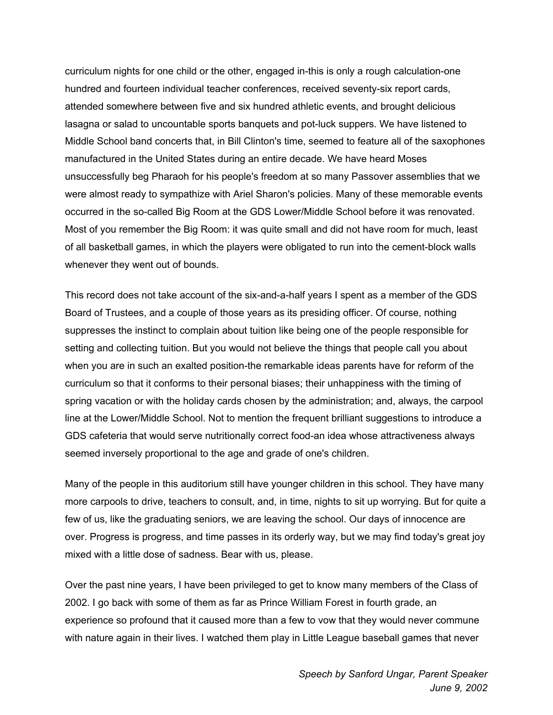curriculum nights for one child or the other, engaged in-this is only a rough calculation-one hundred and fourteen individual teacher conferences, received seventy-six report cards, attended somewhere between five and six hundred athletic events, and brought delicious lasagna or salad to uncountable sports banquets and pot-luck suppers. We have listened to Middle School band concerts that, in Bill Clinton's time, seemed to feature all of the saxophones manufactured in the United States during an entire decade. We have heard Moses unsuccessfully beg Pharaoh for his people's freedom at so many Passover assemblies that we were almost ready to sympathize with Ariel Sharon's policies. Many of these memorable events occurred in the so-called Big Room at the GDS Lower/Middle School before it was renovated. Most of you remember the Big Room: it was quite small and did not have room for much, least of all basketball games, in which the players were obligated to run into the cement-block walls whenever they went out of bounds.

This record does not take account of the six-and-a-half years I spent as a member of the GDS Board of Trustees, and a couple of those years as its presiding officer. Of course, nothing suppresses the instinct to complain about tuition like being one of the people responsible for setting and collecting tuition. But you would not believe the things that people call you about when you are in such an exalted position-the remarkable ideas parents have for reform of the curriculum so that it conforms to their personal biases; their unhappiness with the timing of spring vacation or with the holiday cards chosen by the administration; and, always, the carpool line at the Lower/Middle School. Not to mention the frequent brilliant suggestions to introduce a GDS cafeteria that would serve nutritionally correct food-an idea whose attractiveness always seemed inversely proportional to the age and grade of one's children.

Many of the people in this auditorium still have younger children in this school. They have many more carpools to drive, teachers to consult, and, in time, nights to sit up worrying. But for quite a few of us, like the graduating seniors, we are leaving the school. Our days of innocence are over. Progress is progress, and time passes in its orderly way, but we may find today's great joy mixed with a little dose of sadness. Bear with us, please.

Over the past nine years, I have been privileged to get to know many members of the Class of 2002. I go back with some of them as far as Prince William Forest in fourth grade, an experience so profound that it caused more than a few to vow that they would never commune with nature again in their lives. I watched them play in Little League baseball games that never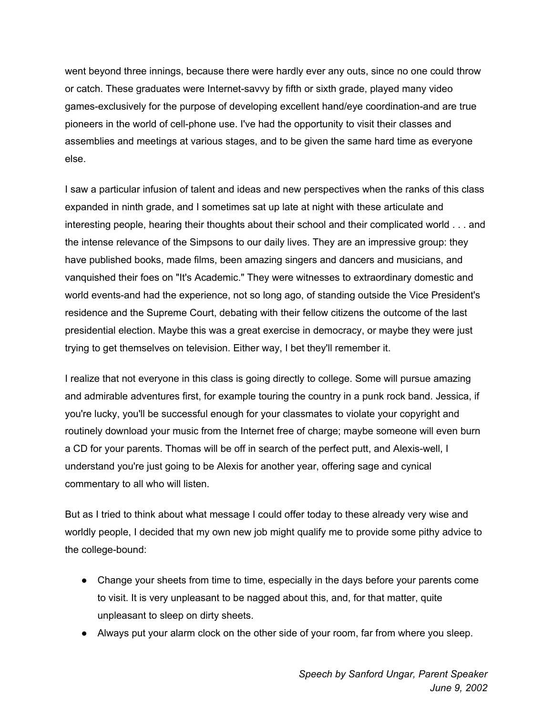went beyond three innings, because there were hardly ever any outs, since no one could throw or catch. These graduates were Internet-savvy by fifth or sixth grade, played many video games-exclusively for the purpose of developing excellent hand/eye coordination-and are true pioneers in the world of cell-phone use. I've had the opportunity to visit their classes and assemblies and meetings at various stages, and to be given the same hard time as everyone else.

I saw a particular infusion of talent and ideas and new perspectives when the ranks of this class expanded in ninth grade, and I sometimes sat up late at night with these articulate and interesting people, hearing their thoughts about their school and their complicated world . . . and the intense relevance of the Simpsons to our daily lives. They are an impressive group: they have published books, made films, been amazing singers and dancers and musicians, and vanquished their foes on "It's Academic." They were witnesses to extraordinary domestic and world events-and had the experience, not so long ago, of standing outside the Vice President's residence and the Supreme Court, debating with their fellow citizens the outcome of the last presidential election. Maybe this was a great exercise in democracy, or maybe they were just trying to get themselves on television. Either way, I bet they'll remember it.

I realize that not everyone in this class is going directly to college. Some will pursue amazing and admirable adventures first, for example touring the country in a punk rock band. Jessica, if you're lucky, you'll be successful enough for your classmates to violate your copyright and routinely download your music from the Internet free of charge; maybe someone will even burn a CD for your parents. Thomas will be off in search of the perfect putt, and Alexis-well, I understand you're just going to be Alexis for another year, offering sage and cynical commentary to all who will listen.

But as I tried to think about what message I could offer today to these already very wise and worldly people, I decided that my own new job might qualify me to provide some pithy advice to the college-bound:

- Change your sheets from time to time, especially in the days before your parents come to visit. It is very unpleasant to be nagged about this, and, for that matter, quite unpleasant to sleep on dirty sheets.
- Always put your alarm clock on the other side of your room, far from where you sleep.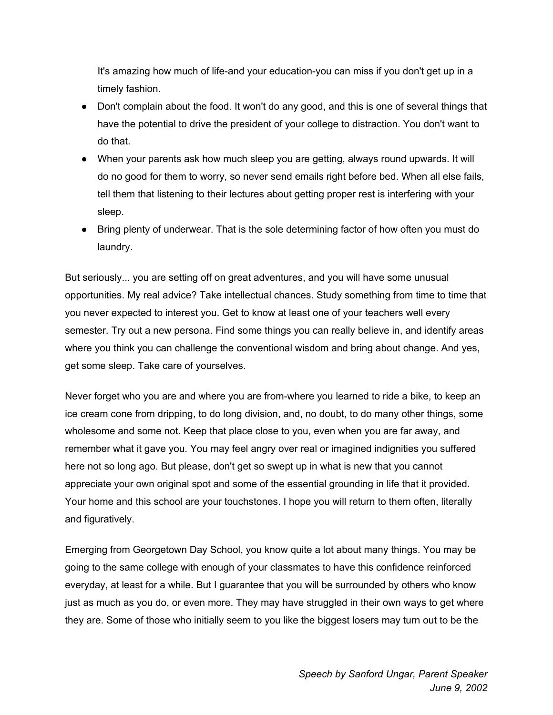It's amazing how much of life-and your education-you can miss if you don't get up in a timely fashion.

- Don't complain about the food. It won't do any good, and this is one of several things that have the potential to drive the president of your college to distraction. You don't want to do that.
- When your parents ask how much sleep you are getting, always round upwards. It will do no good for them to worry, so never send emails right before bed. When all else fails, tell them that listening to their lectures about getting proper rest is interfering with your sleep.
- Bring plenty of underwear. That is the sole determining factor of how often you must do laundry.

But seriously... you are setting off on great adventures, and you will have some unusual opportunities. My real advice? Take intellectual chances. Study something from time to time that you never expected to interest you. Get to know at least one of your teachers well every semester. Try out a new persona. Find some things you can really believe in, and identify areas where you think you can challenge the conventional wisdom and bring about change. And yes, get some sleep. Take care of yourselves.

Never forget who you are and where you are from-where you learned to ride a bike, to keep an ice cream cone from dripping, to do long division, and, no doubt, to do many other things, some wholesome and some not. Keep that place close to you, even when you are far away, and remember what it gave you. You may feel angry over real or imagined indignities you suffered here not so long ago. But please, don't get so swept up in what is new that you cannot appreciate your own original spot and some of the essential grounding in life that it provided. Your home and this school are your touchstones. I hope you will return to them often, literally and figuratively.

Emerging from Georgetown Day School, you know quite a lot about many things. You may be going to the same college with enough of your classmates to have this confidence reinforced everyday, at least for a while. But I guarantee that you will be surrounded by others who know just as much as you do, or even more. They may have struggled in their own ways to get where they are. Some of those who initially seem to you like the biggest losers may turn out to be the